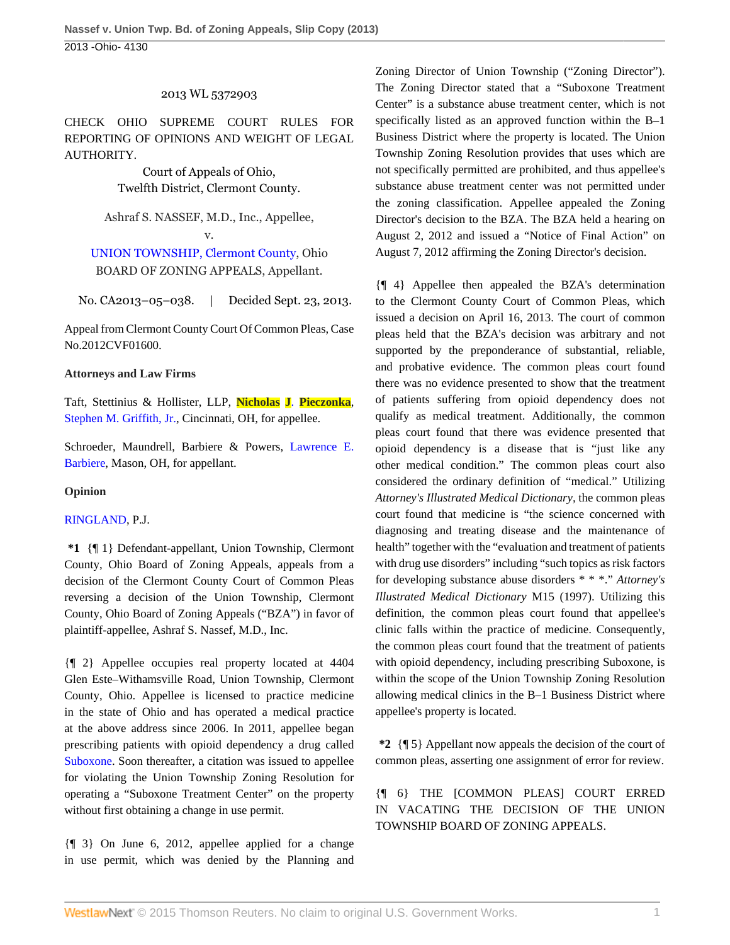## 2013 WL 5372903

CHECK OHIO SUPREME COURT RULES FOR REPORTING OF OPINIONS AND WEIGHT OF LEGAL AUTHORITY.

> Court of Appeals of Ohio, Twelfth District, Clermont County.

Ashraf S. NASSEF, M.D., Inc., Appellee, v.

# [UNION TOWNSHIP, Clermont County](http://www.westlaw.com/Search/Results.html?query=advanced%3a+OAID(5026082548)&saveJuris=False&contentType=BUSINESS-INVESTIGATOR&startIndex=1&contextData=(sc.Default)&categoryPageUrl=Home%2fCompanyInvestigator&originationContext=document&vr=3.0&rs=cblt1.0&transitionType=DocumentItem), Ohio BOARD OF ZONING APPEALS, Appellant.

No. CA2013–05–038. | Decided Sept. 23, 2013.

Appeal from Clermont County Court Of Common Pleas, Case No.2012CVF01600.

## **Attorneys and Law Firms**

Taft, Stettinius & Hollister, LLP, **Nicholas J**. **[Pieczonka](http://www.westlaw.com/Link/Document/FullText?findType=h&pubNum=176284&cite=0462963301&originatingDoc=Ic43803ea272711e39ac8bab74931929c&refType=RQ&originationContext=document&vr=3.0&rs=cblt1.0&transitionType=DocumentItem&contextData=(sc.Search))**, [Stephen M. Griffith, Jr.,](http://www.westlaw.com/Link/Document/FullText?findType=h&pubNum=176284&cite=0330379301&originatingDoc=Ic43803ea272711e39ac8bab74931929c&refType=RQ&originationContext=document&vr=3.0&rs=cblt1.0&transitionType=DocumentItem&contextData=(sc.Search)) Cincinnati, OH, for appellee.

Schroeder, Maundrell, Barbiere & Powers, [Lawrence E.](http://www.westlaw.com/Link/Document/FullText?findType=h&pubNum=176284&cite=0122870701&originatingDoc=Ic43803ea272711e39ac8bab74931929c&refType=RQ&originationContext=document&vr=3.0&rs=cblt1.0&transitionType=DocumentItem&contextData=(sc.Search)) [Barbiere](http://www.westlaw.com/Link/Document/FullText?findType=h&pubNum=176284&cite=0122870701&originatingDoc=Ic43803ea272711e39ac8bab74931929c&refType=RQ&originationContext=document&vr=3.0&rs=cblt1.0&transitionType=DocumentItem&contextData=(sc.Search)), Mason, OH, for appellant.

## **Opinion**

## [RINGLAND](http://www.westlaw.com/Link/Document/FullText?findType=h&pubNum=176284&cite=0213872601&originatingDoc=Ic43803ea272711e39ac8bab74931929c&refType=RQ&originationContext=document&vr=3.0&rs=cblt1.0&transitionType=DocumentItem&contextData=(sc.Search)), P.J.

**\*1** {¶ 1} Defendant-appellant, Union Township, Clermont County, Ohio Board of Zoning Appeals, appeals from a decision of the Clermont County Court of Common Pleas reversing a decision of the Union Township, Clermont County, Ohio Board of Zoning Appeals ("BZA") in favor of plaintiff-appellee, Ashraf S. Nassef, M.D., Inc.

{¶ 2} Appellee occupies real property located at 4404 Glen Este–Withamsville Road, Union Township, Clermont County, Ohio. Appellee is licensed to practice medicine in the state of Ohio and has operated a medical practice at the above address since 2006. In 2011, appellee began prescribing patients with opioid dependency a drug called [Suboxone](http://www.westlaw.com/Link/Document/FullText?entityType=bdrug&entityId=I39b381be475111db9765f9243f53508a&originationContext=document&transitionType=DocumentItem&contextData=(sc.Default)&vr=3.0&rs=cblt1.0). Soon thereafter, a citation was issued to appellee for violating the Union Township Zoning Resolution for operating a "Suboxone Treatment Center" on the property without first obtaining a change in use permit.

{¶ 3} On June 6, 2012, appellee applied for a change in use permit, which was denied by the Planning and Zoning Director of Union Township ("Zoning Director"). The Zoning Director stated that a "Suboxone Treatment Center" is a substance abuse treatment center, which is not specifically listed as an approved function within the B–1 Business District where the property is located. The Union Township Zoning Resolution provides that uses which are not specifically permitted are prohibited, and thus appellee's substance abuse treatment center was not permitted under the zoning classification. Appellee appealed the Zoning Director's decision to the BZA. The BZA held a hearing on August 2, 2012 and issued a "Notice of Final Action" on August 7, 2012 affirming the Zoning Director's decision.

{¶ 4} Appellee then appealed the BZA's determination to the Clermont County Court of Common Pleas, which issued a decision on April 16, 2013. The court of common pleas held that the BZA's decision was arbitrary and not supported by the preponderance of substantial, reliable, and probative evidence. The common pleas court found there was no evidence presented to show that the treatment of patients suffering from opioid dependency does not qualify as medical treatment. Additionally, the common pleas court found that there was evidence presented that opioid dependency is a disease that is "just like any other medical condition." The common pleas court also considered the ordinary definition of "medical." Utilizing *Attorney's Illustrated Medical Dictionary,* the common pleas court found that medicine is "the science concerned with diagnosing and treating disease and the maintenance of health" together with the "evaluation and treatment of patients with drug use disorders" including "such topics as risk factors for developing substance abuse disorders \* \* \*." *Attorney's Illustrated Medical Dictionary* M15 (1997). Utilizing this definition, the common pleas court found that appellee's clinic falls within the practice of medicine. Consequently, the common pleas court found that the treatment of patients with opioid dependency, including prescribing Suboxone, is within the scope of the Union Township Zoning Resolution allowing medical clinics in the B–1 Business District where appellee's property is located.

**\*2** {¶ 5} Appellant now appeals the decision of the court of common pleas, asserting one assignment of error for review.

{¶ 6} THE [COMMON PLEAS] COURT ERRED IN VACATING THE DECISION OF THE UNION TOWNSHIP BOARD OF ZONING APPEALS.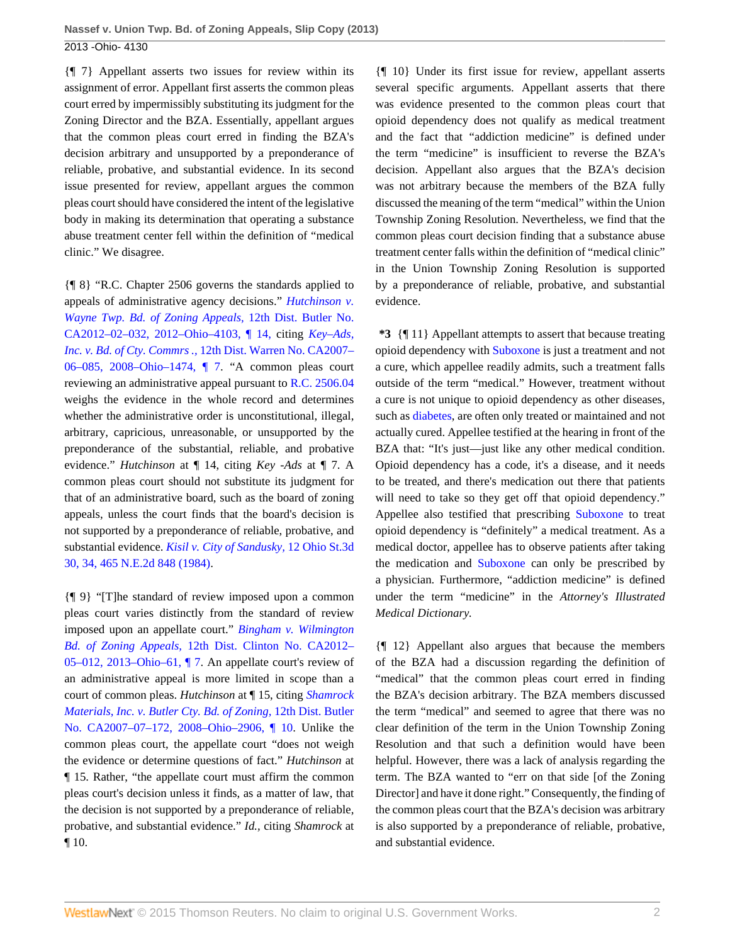{¶ 7} Appellant asserts two issues for review within its assignment of error. Appellant first asserts the common pleas court erred by impermissibly substituting its judgment for the Zoning Director and the BZA. Essentially, appellant argues that the common pleas court erred in finding the BZA's decision arbitrary and unsupported by a preponderance of reliable, probative, and substantial evidence. In its second issue presented for review, appellant argues the common pleas court should have considered the intent of the legislative body in making its determination that operating a substance abuse treatment center fell within the definition of "medical clinic." We disagree.

{¶ 8} "R.C. Chapter 2506 governs the standards applied to appeals of administrative agency decisions." *[Hutchinson v.](http://www.westlaw.com/Link/Document/FullText?findType=Y&serNum=2028573631&pubNum=6832&originatingDoc=Ic43803ea272711e39ac8bab74931929c&refType=RP&originationContext=document&vr=3.0&rs=cblt1.0&transitionType=DocumentItem&contextData=(sc.Search)) [Wayne Twp. Bd. of Zoning Appeals,](http://www.westlaw.com/Link/Document/FullText?findType=Y&serNum=2028573631&pubNum=6832&originatingDoc=Ic43803ea272711e39ac8bab74931929c&refType=RP&originationContext=document&vr=3.0&rs=cblt1.0&transitionType=DocumentItem&contextData=(sc.Search))* 12th Dist. Butler No. [CA2012–02–032, 2012–Ohio–4103, ¶ 14,](http://www.westlaw.com/Link/Document/FullText?findType=Y&serNum=2028573631&pubNum=6832&originatingDoc=Ic43803ea272711e39ac8bab74931929c&refType=RP&originationContext=document&vr=3.0&rs=cblt1.0&transitionType=DocumentItem&contextData=(sc.Search)) citing *[Key–Ads,](http://www.westlaw.com/Link/Document/FullText?findType=Y&serNum=2015623908&pubNum=6832&originatingDoc=Ic43803ea272711e39ac8bab74931929c&refType=RP&originationContext=document&vr=3.0&rs=cblt1.0&transitionType=DocumentItem&contextData=(sc.Search)) Inc. v. Bd. of Cty. Commrs .,* [12th Dist. Warren No. CA2007–](http://www.westlaw.com/Link/Document/FullText?findType=Y&serNum=2015623908&pubNum=6832&originatingDoc=Ic43803ea272711e39ac8bab74931929c&refType=RP&originationContext=document&vr=3.0&rs=cblt1.0&transitionType=DocumentItem&contextData=(sc.Search)) [06–085, 2008–Ohio–1474, ¶ 7.](http://www.westlaw.com/Link/Document/FullText?findType=Y&serNum=2015623908&pubNum=6832&originatingDoc=Ic43803ea272711e39ac8bab74931929c&refType=RP&originationContext=document&vr=3.0&rs=cblt1.0&transitionType=DocumentItem&contextData=(sc.Search)) "A common pleas court reviewing an administrative appeal pursuant to [R.C. 2506.04](http://www.westlaw.com/Link/Document/FullText?findType=L&pubNum=1000279&cite=OHSTS2506.04&originatingDoc=Ic43803ea272711e39ac8bab74931929c&refType=LQ&originationContext=document&vr=3.0&rs=cblt1.0&transitionType=DocumentItem&contextData=(sc.Search)) weighs the evidence in the whole record and determines whether the administrative order is unconstitutional, illegal, arbitrary, capricious, unreasonable, or unsupported by the preponderance of the substantial, reliable, and probative evidence." *Hutchinson* at ¶ 14, citing *Key -Ads* at ¶ 7. A common pleas court should not substitute its judgment for that of an administrative board, such as the board of zoning appeals, unless the court finds that the board's decision is not supported by a preponderance of reliable, probative, and substantial evidence. *[Kisil v. City of Sandusky,](http://www.westlaw.com/Link/Document/FullText?findType=Y&serNum=1984134049&pubNum=578&originatingDoc=Ic43803ea272711e39ac8bab74931929c&refType=RP&originationContext=document&vr=3.0&rs=cblt1.0&transitionType=DocumentItem&contextData=(sc.Search))* 12 Ohio St.3d [30, 34, 465 N.E.2d 848 \(1984\)](http://www.westlaw.com/Link/Document/FullText?findType=Y&serNum=1984134049&pubNum=578&originatingDoc=Ic43803ea272711e39ac8bab74931929c&refType=RP&originationContext=document&vr=3.0&rs=cblt1.0&transitionType=DocumentItem&contextData=(sc.Search)).

{¶ 9} "[T]he standard of review imposed upon a common pleas court varies distinctly from the standard of review imposed upon an appellate court." *[Bingham v. Wilmington](http://www.westlaw.com/Link/Document/FullText?findType=Y&serNum=2029645144&pubNum=6832&originatingDoc=Ic43803ea272711e39ac8bab74931929c&refType=RP&originationContext=document&vr=3.0&rs=cblt1.0&transitionType=DocumentItem&contextData=(sc.Search)) Bd. of Zoning Appeals,* [12th Dist. Clinton No. CA2012–](http://www.westlaw.com/Link/Document/FullText?findType=Y&serNum=2029645144&pubNum=6832&originatingDoc=Ic43803ea272711e39ac8bab74931929c&refType=RP&originationContext=document&vr=3.0&rs=cblt1.0&transitionType=DocumentItem&contextData=(sc.Search)) [05–012, 2013–Ohio–61, ¶ 7](http://www.westlaw.com/Link/Document/FullText?findType=Y&serNum=2029645144&pubNum=6832&originatingDoc=Ic43803ea272711e39ac8bab74931929c&refType=RP&originationContext=document&vr=3.0&rs=cblt1.0&transitionType=DocumentItem&contextData=(sc.Search)). An appellate court's review of an administrative appeal is more limited in scope than a court of common pleas. *Hutchinson* at ¶ 15, citing *[Shamrock](http://www.westlaw.com/Link/Document/FullText?findType=Y&serNum=2016314466&pubNum=6832&originatingDoc=Ic43803ea272711e39ac8bab74931929c&refType=RP&originationContext=document&vr=3.0&rs=cblt1.0&transitionType=DocumentItem&contextData=(sc.Search)) [Materials, Inc. v. Butler Cty. Bd. of Zoning,](http://www.westlaw.com/Link/Document/FullText?findType=Y&serNum=2016314466&pubNum=6832&originatingDoc=Ic43803ea272711e39ac8bab74931929c&refType=RP&originationContext=document&vr=3.0&rs=cblt1.0&transitionType=DocumentItem&contextData=(sc.Search))* 12th Dist. Butler [No. CA2007–07–172, 2008–Ohio–2906, ¶ 10.](http://www.westlaw.com/Link/Document/FullText?findType=Y&serNum=2016314466&pubNum=6832&originatingDoc=Ic43803ea272711e39ac8bab74931929c&refType=RP&originationContext=document&vr=3.0&rs=cblt1.0&transitionType=DocumentItem&contextData=(sc.Search)) Unlike the common pleas court, the appellate court "does not weigh the evidence or determine questions of fact." *Hutchinson* at ¶ 15. Rather, "the appellate court must affirm the common pleas court's decision unless it finds, as a matter of law, that the decision is not supported by a preponderance of reliable, probative, and substantial evidence." *Id.,* citing *Shamrock* at ¶ 10.

{¶ 10} Under its first issue for review, appellant asserts several specific arguments. Appellant asserts that there was evidence presented to the common pleas court that opioid dependency does not qualify as medical treatment and the fact that "addiction medicine" is defined under the term "medicine" is insufficient to reverse the BZA's decision. Appellant also argues that the BZA's decision was not arbitrary because the members of the BZA fully discussed the meaning of the term "medical" within the Union Township Zoning Resolution. Nevertheless, we find that the common pleas court decision finding that a substance abuse treatment center falls within the definition of "medical clinic" in the Union Township Zoning Resolution is supported by a preponderance of reliable, probative, and substantial evidence.

**\*3** {¶ 11} Appellant attempts to assert that because treating opioid dependency with [Suboxone](http://www.westlaw.com/Link/Document/FullText?entityType=bdrug&entityId=I39b381be475111db9765f9243f53508a&originationContext=document&transitionType=DocumentItem&contextData=(sc.Default)&vr=3.0&rs=cblt1.0) is just a treatment and not a cure, which appellee readily admits, such a treatment falls outside of the term "medical." However, treatment without a cure is not unique to opioid dependency as other diseases, such as [diabetes](http://www.westlaw.com/Link/Document/FullText?entityType=disease&entityId=Ic21f078b475411db9765f9243f53508a&originationContext=document&transitionType=DocumentItem&contextData=(sc.Default)&vr=3.0&rs=cblt1.0), are often only treated or maintained and not actually cured. Appellee testified at the hearing in front of the BZA that: "It's just—just like any other medical condition. Opioid dependency has a code, it's a disease, and it needs to be treated, and there's medication out there that patients will need to take so they get off that opioid dependency." Appellee also testified that prescribing [Suboxone](http://www.westlaw.com/Link/Document/FullText?entityType=bdrug&entityId=I39b381be475111db9765f9243f53508a&originationContext=document&transitionType=DocumentItem&contextData=(sc.Default)&vr=3.0&rs=cblt1.0) to treat opioid dependency is "definitely" a medical treatment. As a medical doctor, appellee has to observe patients after taking the medication and [Suboxone](http://www.westlaw.com/Link/Document/FullText?entityType=bdrug&entityId=I39b381be475111db9765f9243f53508a&originationContext=document&transitionType=DocumentItem&contextData=(sc.Default)&vr=3.0&rs=cblt1.0) can only be prescribed by a physician. Furthermore, "addiction medicine" is defined under the term "medicine" in the *Attorney's Illustrated Medical Dictionary.*

{¶ 12} Appellant also argues that because the members of the BZA had a discussion regarding the definition of "medical" that the common pleas court erred in finding the BZA's decision arbitrary. The BZA members discussed the term "medical" and seemed to agree that there was no clear definition of the term in the Union Township Zoning Resolution and that such a definition would have been helpful. However, there was a lack of analysis regarding the term. The BZA wanted to "err on that side [of the Zoning Director] and have it done right." Consequently, the finding of the common pleas court that the BZA's decision was arbitrary is also supported by a preponderance of reliable, probative, and substantial evidence.